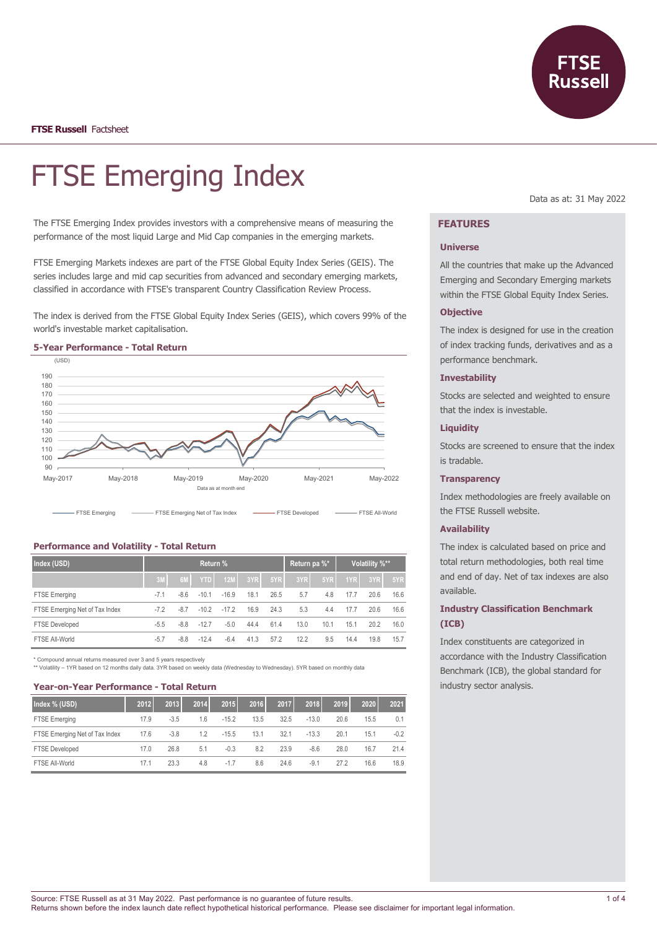

**FTSE Russell** Factsheet

# FTSE Emerging Index

The FTSE Emerging Index provides investors with a comprehensive means of measuring the performance of the most liquid Large and Mid Cap companies in the emerging markets.

FTSE Emerging Markets indexes are part of the FTSE Global Equity Index Series (GEIS). The series includes large and mid cap securities from advanced and secondary emerging markets, classified in accordance with FTSE's transparent Country Classification Review Process.

The index is derived from the FTSE Global Equity Index Series (GEIS), which covers 99% of the world's investable market capitalisation.



## **Performance and Volatility - Total Return**

| Index (USD)                    | Return % |        |            |         |      | Return pa %* |      | Volatility %** |      |      |      |
|--------------------------------|----------|--------|------------|---------|------|--------------|------|----------------|------|------|------|
|                                | 3M       | 6M     | <b>YTD</b> | 12M     | 3YR  | 5YR          | 3YR  | 5YR            | 1YR  | 3YR  | 5YR  |
| <b>FTSE Emerging</b>           | $-7.1$   | $-8.6$ | $-10.1$    | $-16.9$ | 18.1 | 26.5         | 5.7  | 4.8            | 17.7 | 20.6 | 16.6 |
| FTSE Emerging Net of Tax Index | $-7.2$   | $-8.7$ | $-10.2$    | $-17.2$ | 16.9 | 24.3         | 5.3  | 4.4            | 17.7 | 20.6 | 16.6 |
| <b>FTSE Developed</b>          | $-5.5$   | $-8.8$ | $-12.7$    | $-5.0$  | 44.4 | 61.4         | 13.0 | 10.1           | 15.1 | 20.2 | 16.0 |
| FTSE All-World                 | $-5.7$   | $-8.8$ | $-12.4$    | $-6.4$  | 41.3 | 57.2         | 12.2 | 9.5            | 14.4 | 19.8 | 15.7 |

\* Compound annual returns measured over 3 and 5 years respectively

\*\* Volatility – 1YR based on 12 months daily data. 3YR based on weekly data (Wednesday to Wednesday). 5YR based on monthly data

## **Year-on-Year Performance - Total Return**

| Index % (USD)                  | 2012 | 2013   | 2014 | 2015    | 2016 | 2017 | 2018    | 2019 | 2020 | 2021   |
|--------------------------------|------|--------|------|---------|------|------|---------|------|------|--------|
| FTSE Emerging                  | 17.9 | $-3.5$ | 1.6  | $-15.2$ | 13.5 | 32.5 | $-13.0$ | 20.6 | 15.5 | 0.1    |
| FTSE Emerging Net of Tax Index | 17.6 | $-3.8$ | 1.2  | $-15.5$ | 13.1 | 32.1 | $-13.3$ | 20.1 | 15.1 | $-0.2$ |
| <b>FTSE Developed</b>          | 17.0 | 26.8   | 5.1  | $-0.3$  | 8.2  | 23.9 | $-8.6$  | 28.0 | 16.7 | 21.4   |
| FTSE All-World                 | 17.1 | 23.3   | 4.8  | $-1.7$  | 8.6  | 24.6 | $-9.1$  | 272  | 16.6 | 18.9   |

Data as at: 31 May 2022

# **FEATURES**

#### **Universe**

All the countries that make up the Advanced Emerging and Secondary Emerging markets within the FTSE Global Equity Index Series.

## **Objective**

The index is designed for use in the creation of index tracking funds, derivatives and as a performance benchmark.

#### **Investability**

Stocks are selected and weighted to ensure that the index is investable.

## **Liquidity**

Stocks are screened to ensure that the index is tradable.

#### **Transparency**

Index methodologies are freely available on the FTSE Russell website.

#### **Availability**

The index is calculated based on price and total return methodologies, both real time and end of day. Net of tax indexes are also available.

# **Industry Classification Benchmark (ICB)**

Index constituents are categorized in accordance with the Industry Classification Benchmark (ICB), the global standard for industry sector analysis.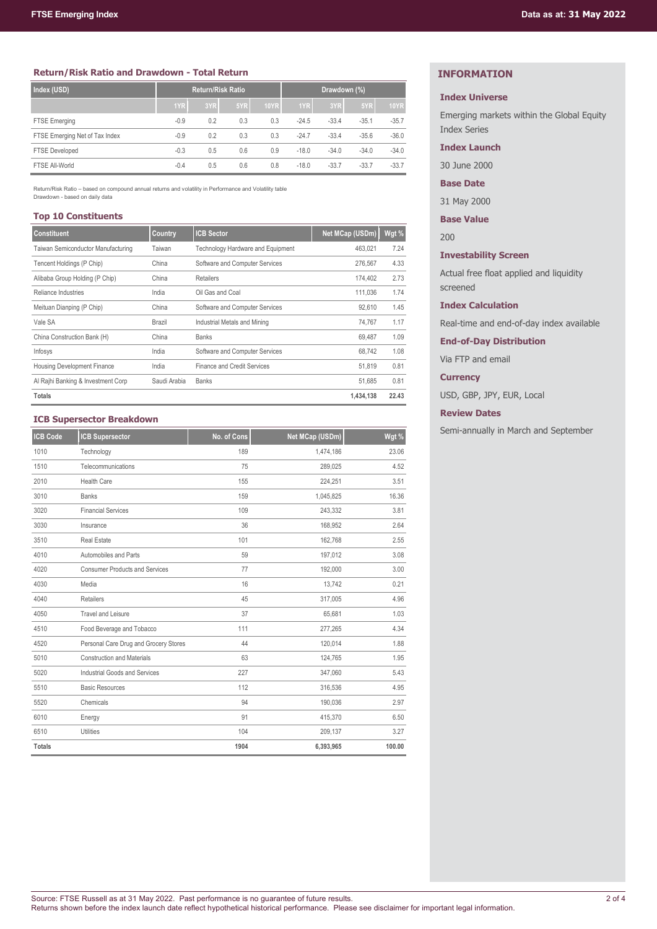## **Return/Risk Ratio and Drawdown - Total Return**

| Index (USD)                    | <b>Return/Risk Ratio</b> |     |     |             | Drawdown (%) |         |         |             |
|--------------------------------|--------------------------|-----|-----|-------------|--------------|---------|---------|-------------|
|                                | 1YR                      | 3YR | 5YR | <b>10YR</b> | 1YR          | 3YR     | 5YR     | <b>10YR</b> |
| <b>FTSE Emerging</b>           | $-0.9$                   | 0.2 | 0.3 | 0.3         | $-24.5$      | $-33.4$ | $-35.1$ | $-35.7$     |
| FTSE Emerging Net of Tax Index | $-0.9$                   | 0.2 | 0.3 | 0.3         | $-24.7$      | $-33.4$ | $-35.6$ | $-36.0$     |
| <b>FTSE Developed</b>          | $-0.3$                   | 0.5 | 0.6 | 0.9         | $-18.0$      | $-34.0$ | $-34.0$ | $-34.0$     |
| FTSE All-World                 | $-0.4$                   | 0.5 | 0.6 | 0.8         | $-18.0$      | $-33.7$ | $-33.7$ | $-33.7$     |

Return/Risk Ratio – based on compound annual returns and volatility in Performance and Volatility table Drawdown - based on daily data

## **Top 10 Constituents**

| <b>Constituent</b>                 | Country      | <b>ICB Sector</b>                 | Net MCap (USDm) | Wgt % |
|------------------------------------|--------------|-----------------------------------|-----------------|-------|
| Taiwan Semiconductor Manufacturing | Taiwan       | Technology Hardware and Equipment | 463.021         | 7.24  |
| Tencent Holdings (P Chip)          | China        | Software and Computer Services    | 276.567         | 4.33  |
| Alibaba Group Holding (P Chip)     | China        | Retailers                         | 174.402         | 2.73  |
| Reliance Industries                | India        | Oil Gas and Coal                  | 111.036         | 1.74  |
| Meituan Dianping (P Chip)          | China        | Software and Computer Services    | 92.610          | 1.45  |
| Vale SA                            | Brazil       | Industrial Metals and Mining      | 74.767          | 1.17  |
| China Construction Bank (H)        | China        | <b>Banks</b>                      | 69.487          | 1.09  |
| Infosys                            | India        | Software and Computer Services    | 68.742          | 1.08  |
| <b>Housing Development Finance</b> | India        | Finance and Credit Services       | 51.819          | 0.81  |
| Al Rajhi Banking & Investment Corp | Saudi Arabia | <b>Banks</b>                      | 51,685          | 0.81  |
| <b>Totals</b>                      |              |                                   | 1,434,138       | 22.43 |

## **ICB Supersector Breakdown**

| <b>ICB Code</b> | <b>ICB Supersector</b>                | No. of Cons | Net MCap (USDm) | Wgt %  |
|-----------------|---------------------------------------|-------------|-----------------|--------|
| 1010            | Technology                            | 189         | 1,474,186       | 23.06  |
| 1510            | Telecommunications                    | 75          | 289,025         | 4.52   |
| 2010            | Health Care                           | 155         | 224,251         | 3.51   |
| 3010            | <b>Banks</b>                          | 159         | 1,045,825       | 16.36  |
| 3020            | <b>Financial Services</b>             | 109         | 243,332         | 3.81   |
| 3030            | Insurance                             | 36          | 168,952         | 2.64   |
| 3510            | <b>Real Estate</b>                    | 101         | 162,768         | 2.55   |
| 4010            | Automobiles and Parts                 | 59          | 197,012         | 3.08   |
| 4020            | <b>Consumer Products and Services</b> | 77          | 192,000         | 3.00   |
| 4030            | Media                                 | 16          | 13,742          | 0.21   |
| 4040            | <b>Retailers</b>                      | 45          | 317,005         | 4.96   |
| 4050            | <b>Travel and Leisure</b>             | 37          | 65,681          | 1.03   |
| 4510            | Food Beverage and Tobacco             | 111         | 277,265         | 4.34   |
| 4520            | Personal Care Drug and Grocery Stores | 44          | 120,014         | 1.88   |
| 5010            | <b>Construction and Materials</b>     | 63          | 124,765         | 1.95   |
| 5020            | Industrial Goods and Services         | 227         | 347,060         | 5.43   |
| 5510            | <b>Basic Resources</b>                | 112         | 316,536         | 4.95   |
| 5520            | Chemicals                             | 94          | 190,036         | 2.97   |
| 6010            | Energy                                | 91          | 415,370         | 6.50   |
| 6510            | <b>Utilities</b>                      | 104         | 209,137         | 3.27   |
| <b>Totals</b>   |                                       | 1904        | 6,393,965       | 100.00 |

# **INFORMATION**

## **Index Universe**

Emerging markets within the Global Equity Index Series

# **Index Launch**

30 June 2000

# **Base Date**

31 May 2000

**Base Value**

200

# **Investability Screen**

Actual free float applied and liquidity screened

## **Index Calculation**

Real-time and end-of-day index available

**End-of-Day Distribution**

Via FTP and email

## **Currency**

USD, GBP, JPY, EUR, Local

# **Review Dates**

Semi-annually in March and September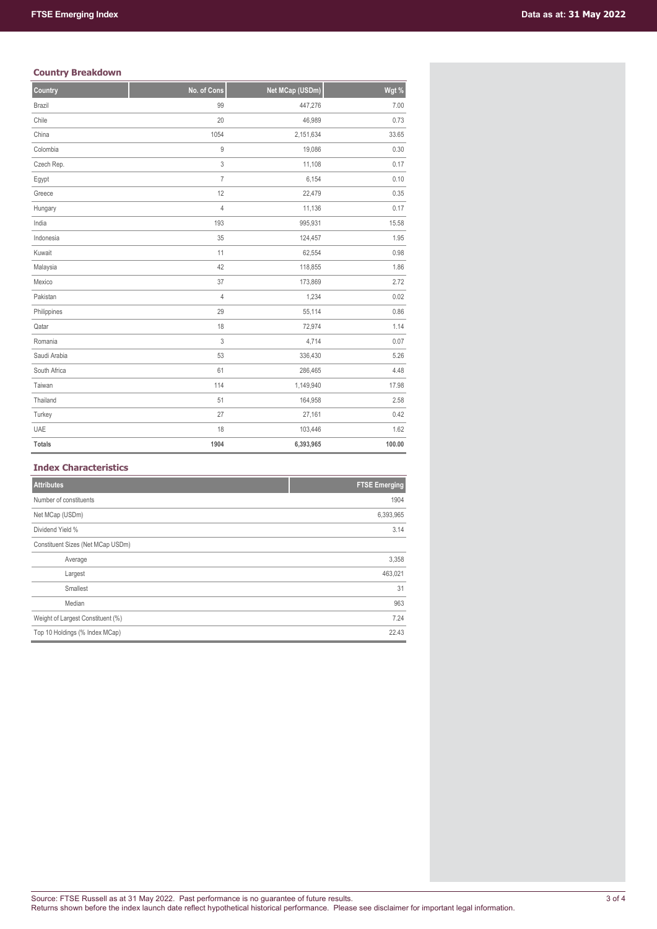# **Country Breakdown**

| Country       | No. of Cons      | Net MCap (USDm) | Wgt %  |
|---------------|------------------|-----------------|--------|
| Brazil        | 99               | 447,276         | 7.00   |
| Chile         | 20               | 46,989          | 0.73   |
| China         | 1054             | 2,151,634       | 33.65  |
| Colombia      | $\boldsymbol{9}$ | 19,086          | 0.30   |
| Czech Rep.    | 3                | 11,108          | 0.17   |
| Egypt         | $\overline{7}$   | 6,154           | 0.10   |
| Greece        | 12               | 22,479          | 0.35   |
| Hungary       | $\overline{4}$   | 11,136          | 0.17   |
| India         | 193              | 995,931         | 15.58  |
| Indonesia     | 35               | 124,457         | 1.95   |
| Kuwait        | 11               | 62,554          | 0.98   |
| Malaysia      | 42               | 118,855         | 1.86   |
| Mexico        | 37               | 173,869         | 2.72   |
| Pakistan      | $\overline{4}$   | 1,234           | 0.02   |
| Philippines   | 29               | 55,114          | 0.86   |
| Qatar         | 18               | 72,974          | 1.14   |
| Romania       | 3                | 4,714           | 0.07   |
| Saudi Arabia  | 53               | 336,430         | 5.26   |
| South Africa  | 61               | 286,465         | 4.48   |
| Taiwan        | 114              | 1,149,940       | 17.98  |
| Thailand      | 51               | 164,958         | 2.58   |
| Turkey        | 27               | 27,161          | 0.42   |
| UAE           | 18               | 103,446         | 1.62   |
| <b>Totals</b> | 1904             | 6,393,965       | 100.00 |

# **Index Characteristics**

| <b>Attributes</b>                 | <b>FTSE Emerging</b> |
|-----------------------------------|----------------------|
| Number of constituents            | 1904                 |
| Net MCap (USDm)                   | 6,393,965            |
| Dividend Yield %                  | 3.14                 |
| Constituent Sizes (Net MCap USDm) |                      |
| Average                           | 3,358                |
| Largest                           | 463,021              |
| Smallest                          | 31                   |
| Median                            | 963                  |
| Weight of Largest Constituent (%) | 7.24                 |
| Top 10 Holdings (% Index MCap)    | 22.43                |
|                                   |                      |